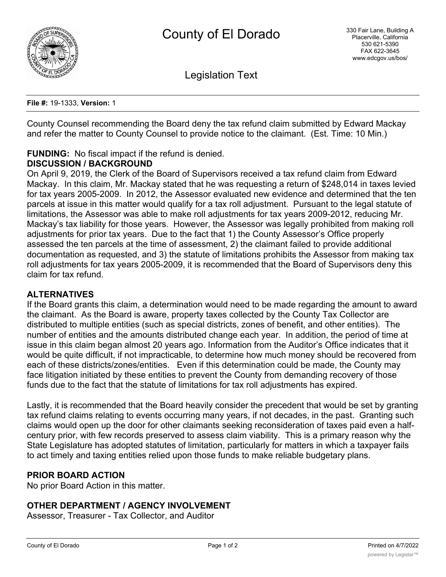

Legislation Text

**File #:** 19-1333, **Version:** 1

County Counsel recommending the Board deny the tax refund claim submitted by Edward Mackay and refer the matter to County Counsel to provide notice to the claimant. (Est. Time: 10 Min.)

# **FUNDING:** No fiscal impact if the refund is denied.

### **DISCUSSION / BACKGROUND**

On April 9, 2019, the Clerk of the Board of Supervisors received a tax refund claim from Edward Mackay. In this claim, Mr. Mackay stated that he was requesting a return of \$248,014 in taxes levied for tax years 2005-2009. In 2012, the Assessor evaluated new evidence and determined that the ten parcels at issue in this matter would qualify for a tax roll adjustment. Pursuant to the legal statute of limitations, the Assessor was able to make roll adjustments for tax years 2009-2012, reducing Mr. Mackay's tax liability for those years. However, the Assessor was legally prohibited from making roll adjustments for prior tax years. Due to the fact that 1) the County Assessor's Office properly assessed the ten parcels at the time of assessment, 2) the claimant failed to provide additional documentation as requested, and 3) the statute of limitations prohibits the Assessor from making tax roll adjustments for tax years 2005-2009, it is recommended that the Board of Supervisors deny this claim for tax refund.

#### **ALTERNATIVES**

If the Board grants this claim, a determination would need to be made regarding the amount to award the claimant. As the Board is aware, property taxes collected by the County Tax Collector are distributed to multiple entities (such as special districts, zones of benefit, and other entities). The number of entities and the amounts distributed change each year. In addition, the period of time at issue in this claim began almost 20 years ago. Information from the Auditor's Office indicates that it would be quite difficult, if not impracticable, to determine how much money should be recovered from each of these districts/zones/entities. Even if this determination could be made, the County may face litigation initiated by these entities to prevent the County from demanding recovery of those funds due to the fact that the statute of limitations for tax roll adjustments has expired.

Lastly, it is recommended that the Board heavily consider the precedent that would be set by granting tax refund claims relating to events occurring many years, if not decades, in the past. Granting such claims would open up the door for other claimants seeking reconsideration of taxes paid even a halfcentury prior, with few records preserved to assess claim viability. This is a primary reason why the State Legislature has adopted statutes of limitation, particularly for matters in which a taxpayer fails to act timely and taxing entities relied upon those funds to make reliable budgetary plans.

## **PRIOR BOARD ACTION**

No prior Board Action in this matter.

#### **OTHER DEPARTMENT / AGENCY INVOLVEMENT**

Assessor, Treasurer - Tax Collector, and Auditor